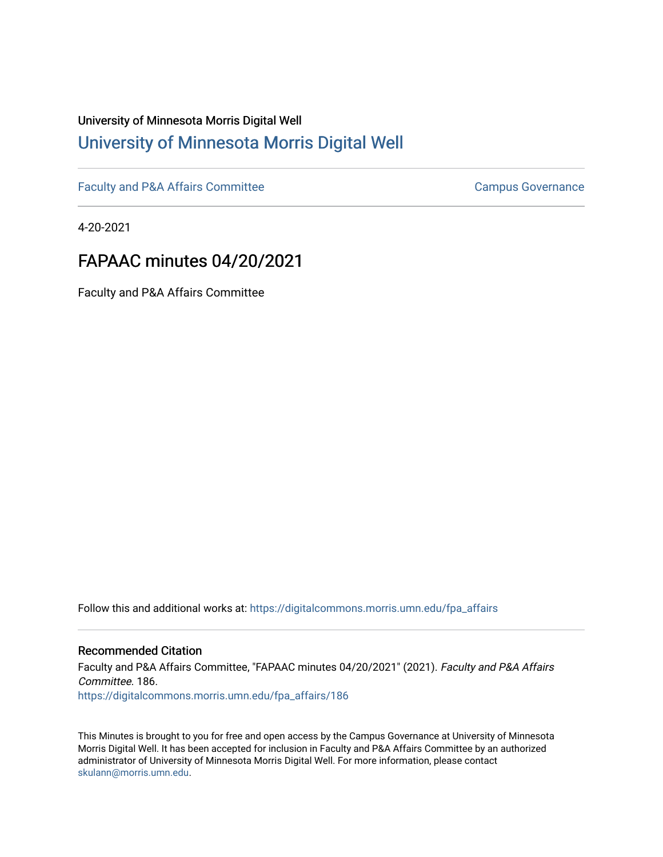# University of Minnesota Morris Digital Well [University of Minnesota Morris Digital Well](https://digitalcommons.morris.umn.edu/)

[Faculty and P&A Affairs Committee](https://digitalcommons.morris.umn.edu/fpa_affairs) [Campus Governance](https://digitalcommons.morris.umn.edu/campgov) Campus Governance

4-20-2021

# FAPAAC minutes 04/20/2021

Faculty and P&A Affairs Committee

Follow this and additional works at: [https://digitalcommons.morris.umn.edu/fpa\\_affairs](https://digitalcommons.morris.umn.edu/fpa_affairs?utm_source=digitalcommons.morris.umn.edu%2Ffpa_affairs%2F186&utm_medium=PDF&utm_campaign=PDFCoverPages)

#### Recommended Citation

Faculty and P&A Affairs Committee, "FAPAAC minutes 04/20/2021" (2021). Faculty and P&A Affairs Committee. 186. [https://digitalcommons.morris.umn.edu/fpa\\_affairs/186](https://digitalcommons.morris.umn.edu/fpa_affairs/186?utm_source=digitalcommons.morris.umn.edu%2Ffpa_affairs%2F186&utm_medium=PDF&utm_campaign=PDFCoverPages)

This Minutes is brought to you for free and open access by the Campus Governance at University of Minnesota Morris Digital Well. It has been accepted for inclusion in Faculty and P&A Affairs Committee by an authorized administrator of University of Minnesota Morris Digital Well. For more information, please contact [skulann@morris.umn.edu.](mailto:skulann@morris.umn.edu)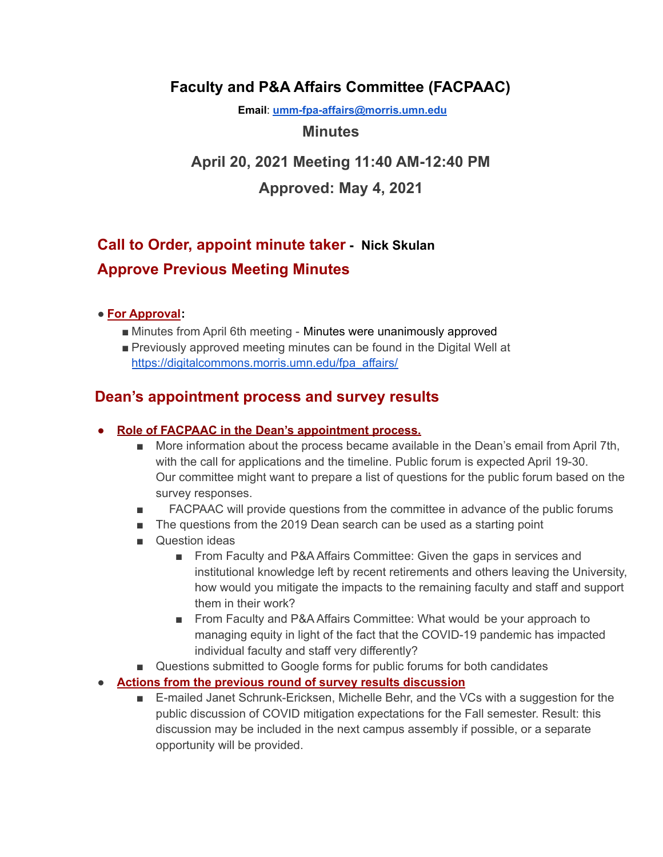## **Faculty and P&A Affairs Committee (FACPAAC)**

**Email**: **[umm-fpa-affairs@morris.umn.edu](mailto:umm-fpa-affairs@morris.umn.edu)**

### **Minutes**

# **April 20, 2021 Meeting 11:40 AM-12:40 PM**

### **Approved: May 4, 2021**

# **Call to Order, appoint minute taker - [Nick Skulan](mailto:naskulan@morris.umn.edu) Approve Previous Meeting Minutes**

### ● **For Approval:**

- Minutes from April 6th meeting Minutes were unanimously approved
- Previously approved meeting minutes can be found in the Digital Well at [https://digitalcommons.morris.umn.edu/fpa\\_affairs/](https://digitalcommons.morris.umn.edu/fpa_affairs/)

### **Dean's appointment process and survey results**

- **● Role of FACPAAC in the Dean's appointment process.**
	- More information about the process became available in the Dean's email from April 7th, with the call for applications and the timeline. Public forum is expected April 19-30. Our committee might want to prepare a list of questions for the public forum based on the survey responses.
	- FACPAAC will provide questions from the committee in advance of the public forums
	- The questions from the 2019 Dean search can be used as a starting point
	- Question ideas
		- From Faculty and P&A Affairs Committee: Given the gaps in services and institutional knowledge left by recent retirements and others leaving the University, how would you mitigate the impacts to the remaining faculty and staff and support them in their work?
		- From Faculty and P&A Affairs Committee: What would be your approach to managing equity in light of the fact that the COVID-19 pandemic has impacted individual faculty and staff very differently?
	- Questions submitted to Google forms for public forums for both candidates

### ● **Actions from the previous round of survey results discussion**

■ E-mailed Janet Schrunk-Ericksen, Michelle Behr, and the VCs with a suggestion for the public discussion of COVID mitigation expectations for the Fall semester. Result: this discussion may be included in the next campus assembly if possible, or a separate opportunity will be provided.